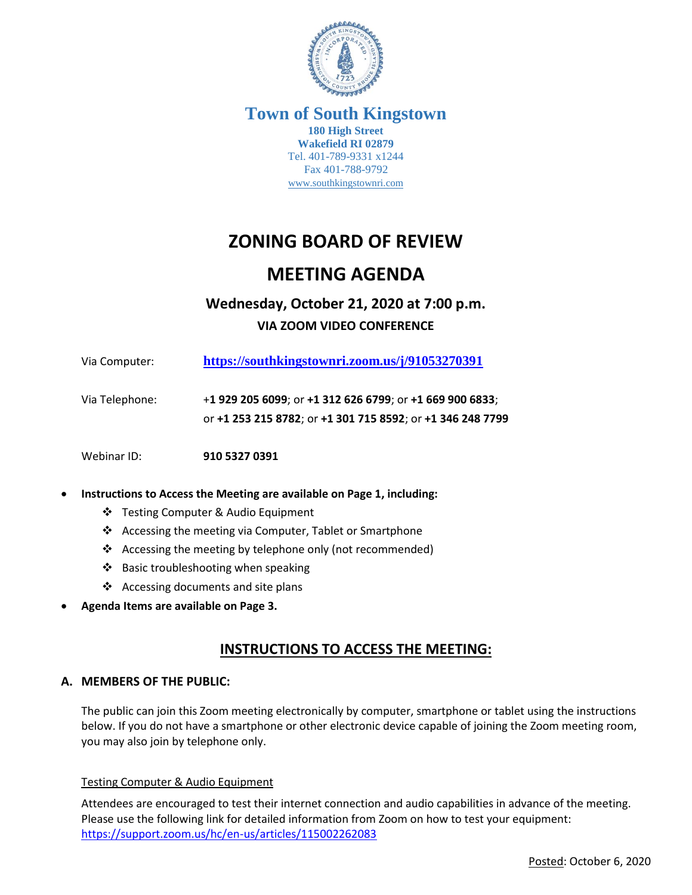

#### **Town of South Kingstown 180 High Street Wakefield RI 02879** Tel. 401-789-9331 x1244 Fax 401-788-9792 [www.southkingstownri.com](http://www.southkingstownri.com/)

# **ZONING BOARD OF REVIEW**

## **MEETING AGENDA**

## **Wednesday, October 21, 2020 at 7:00 p.m. VIA ZOOM VIDEO CONFERENCE**

| Via Computer:  | https://southkingstownri.zoom.us/j/91053270391                                                                         |
|----------------|------------------------------------------------------------------------------------------------------------------------|
| Via Telephone: | +1 929 205 6099; or +1 312 626 6799; or +1 669 900 6833;<br>or +1 253 215 8782; or +1 301 715 8592; or +1 346 248 7799 |
| Webinar ID:    | 910 5327 0391                                                                                                          |

#### **Instructions to Access the Meeting are available on Page 1, including:**

- Testing Computer & Audio Equipment
- ❖ Accessing the meeting via Computer, Tablet or Smartphone
- ❖ Accessing the meeting by telephone only (not recommended)
- ❖ Basic troubleshooting when speaking
- ❖ Accessing documents and site plans
- **Agenda Items are available on Page 3.**

## **INSTRUCTIONS TO ACCESS THE MEETING:**

#### **A. MEMBERS OF THE PUBLIC:**

The public can join this Zoom meeting electronically by computer, smartphone or tablet using the instructions below. If you do not have a smartphone or other electronic device capable of joining the Zoom meeting room, you may also join by telephone only.

#### Testing Computer & Audio Equipment

Attendees are encouraged to test their internet connection and audio capabilities in advance of the meeting. Please use the following link for detailed information from Zoom on how to test your equipment: <https://support.zoom.us/hc/en-us/articles/115002262083>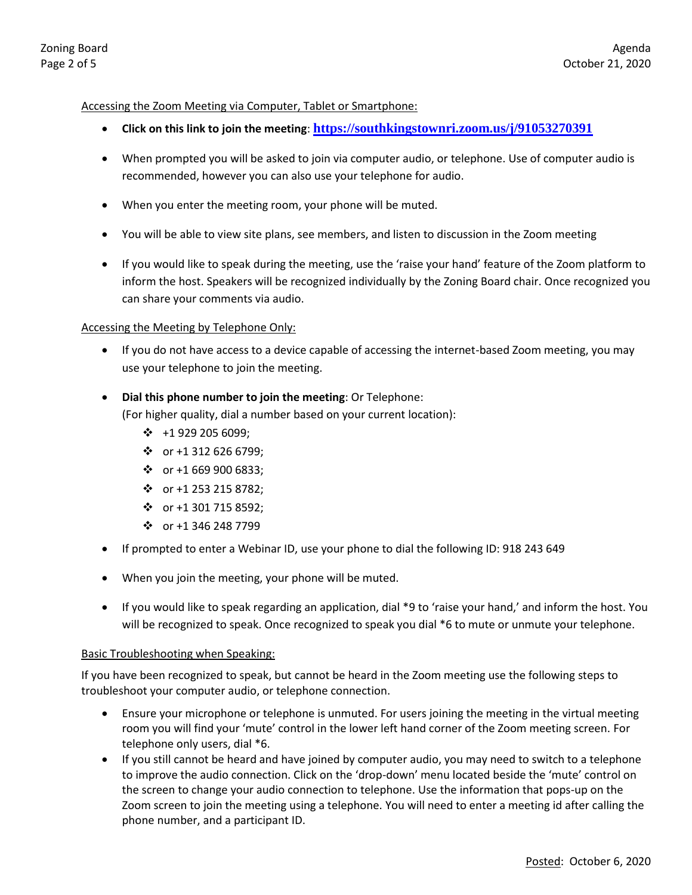#### Accessing the Zoom Meeting via Computer, Tablet or Smartphone:

- **Click on this link to join the meeting**: **<https://southkingstownri.zoom.us/j/91053270391>**
- When prompted you will be asked to join via computer audio, or telephone. Use of computer audio is recommended, however you can also use your telephone for audio.
- When you enter the meeting room, your phone will be muted.
- You will be able to view site plans, see members, and listen to discussion in the Zoom meeting
- If you would like to speak during the meeting, use the 'raise your hand' feature of the Zoom platform to inform the host. Speakers will be recognized individually by the Zoning Board chair. Once recognized you can share your comments via audio.

#### Accessing the Meeting by Telephone Only:

 If you do not have access to a device capable of accessing the internet-based Zoom meeting, you may use your telephone to join the meeting.

#### **Dial this phone number to join the meeting**: Or Telephone:

(For higher quality, dial a number based on your current location):

- $\cdot \cdot \cdot$  +1 929 205 6099;
- $\cdot$  or +1 312 626 6799;
- $\div$  or +1 669 900 6833;
- $\div$  or +1 253 215 8782;
- $\div$  or +1 301 715 8592;
- $\div$  or +1 346 248 7799
- If prompted to enter a Webinar ID, use your phone to dial the following ID: 918 243 649
- When you join the meeting, your phone will be muted.
- If you would like to speak regarding an application, dial \*9 to 'raise your hand,' and inform the host. You will be recognized to speak. Once recognized to speak you dial \*6 to mute or unmute your telephone.

#### Basic Troubleshooting when Speaking:

If you have been recognized to speak, but cannot be heard in the Zoom meeting use the following steps to troubleshoot your computer audio, or telephone connection.

- Ensure your microphone or telephone is unmuted. For users joining the meeting in the virtual meeting room you will find your 'mute' control in the lower left hand corner of the Zoom meeting screen. For telephone only users, dial \*6.
- If you still cannot be heard and have joined by computer audio, you may need to switch to a telephone to improve the audio connection. Click on the 'drop-down' menu located beside the 'mute' control on the screen to change your audio connection to telephone. Use the information that pops-up on the Zoom screen to join the meeting using a telephone. You will need to enter a meeting id after calling the phone number, and a participant ID.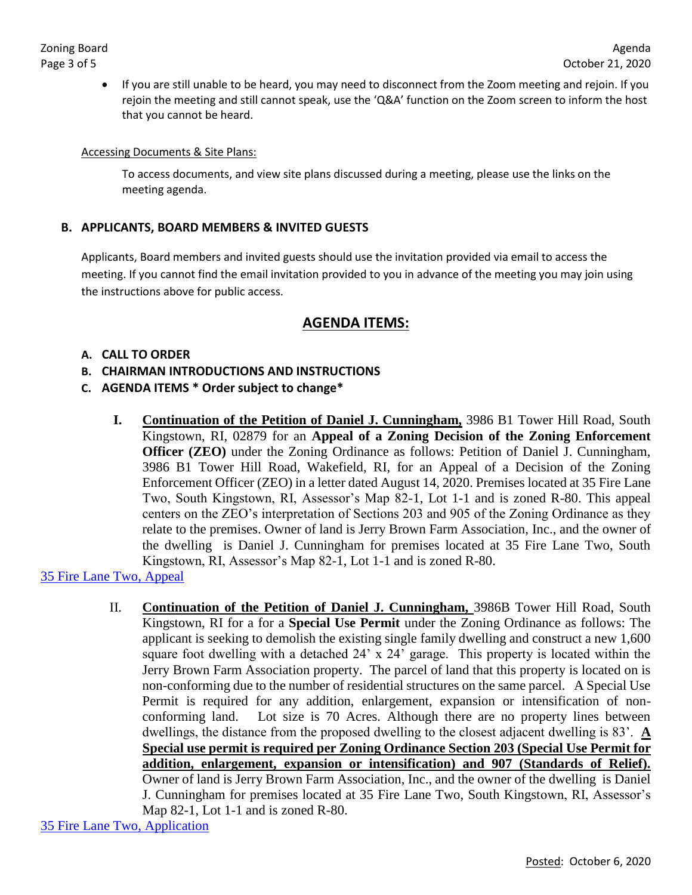If you are still unable to be heard, you may need to disconnect from the Zoom meeting and rejoin. If you rejoin the meeting and still cannot speak, use the 'Q&A' function on the Zoom screen to inform the host that you cannot be heard.

#### Accessing Documents & Site Plans:

To access documents, and view site plans discussed during a meeting, please use the links on the meeting agenda.

#### **B. APPLICANTS, BOARD MEMBERS & INVITED GUESTS**

Applicants, Board members and invited guests should use the invitation provided via email to access the meeting. If you cannot find the email invitation provided to you in advance of the meeting you may join using the instructions above for public access.

## **AGENDA ITEMS:**

#### **A. CALL TO ORDER**

- **B. CHAIRMAN INTRODUCTIONS AND INSTRUCTIONS**
- **C. AGENDA ITEMS \* Order subject to change\***
	- **I. Continuation of the Petition of Daniel J. Cunningham,** 3986 B1 Tower Hill Road, South Kingstown, RI, 02879 for an **Appeal of a Zoning Decision of the Zoning Enforcement Officer (ZEO)** under the Zoning Ordinance as follows: Petition of Daniel J. Cunningham, 3986 B1 Tower Hill Road, Wakefield, RI, for an Appeal of a Decision of the Zoning Enforcement Officer (ZEO) in a letter dated August 14, 2020. Premises located at 35 Fire Lane Two, South Kingstown, RI, Assessor's Map 82-1, Lot 1-1 and is zoned R-80. This appeal centers on the ZEO's interpretation of Sections 203 and 905 of the Zoning Ordinance as they relate to the premises. Owner of land is Jerry Brown Farm Association, Inc., and the owner of the dwelling is Daniel J. Cunningham for premises located at 35 Fire Lane Two, South Kingstown, RI, Assessor's Map 82-1, Lot 1-1 and is zoned R-80.

[35 Fire Lane Two, Appeal](http://www.southkingstownri.com/DocumentCenter/View/5135/35-Fire-Lane-Two-Appeal-Application-Cunningham)

II. **Continuation of the Petition of Daniel J. Cunningham,** 3986B Tower Hill Road, South Kingstown, RI for a for a **Special Use Permit** under the Zoning Ordinance as follows: The applicant is seeking to demolish the existing single family dwelling and construct a new 1,600 square foot dwelling with a detached 24' x 24' garage. This property is located within the Jerry Brown Farm Association property. The parcel of land that this property is located on is non-conforming due to the number of residential structures on the same parcel. A Special Use Permit is required for any addition, enlargement, expansion or intensification of nonconforming land. Lot size is 70 Acres. Although there are no property lines between dwellings, the distance from the proposed dwelling to the closest adjacent dwelling is 83'. **A Special use permit is required per Zoning Ordinance Section 203 (Special Use Permit for addition, enlargement, expansion or intensification) and 907 (Standards of Relief).** Owner of land is Jerry Brown Farm Association, Inc., and the owner of the dwelling is Daniel J. Cunningham for premises located at 35 Fire Lane Two, South Kingstown, RI, Assessor's Map 82-1, Lot 1-1 and is zoned R-80.

[35 Fire Lane Two, Application](http://www.southkingstownri.com/DocumentCenter/View/4442/35-Fire-Lane-Two-Application-Cunningham)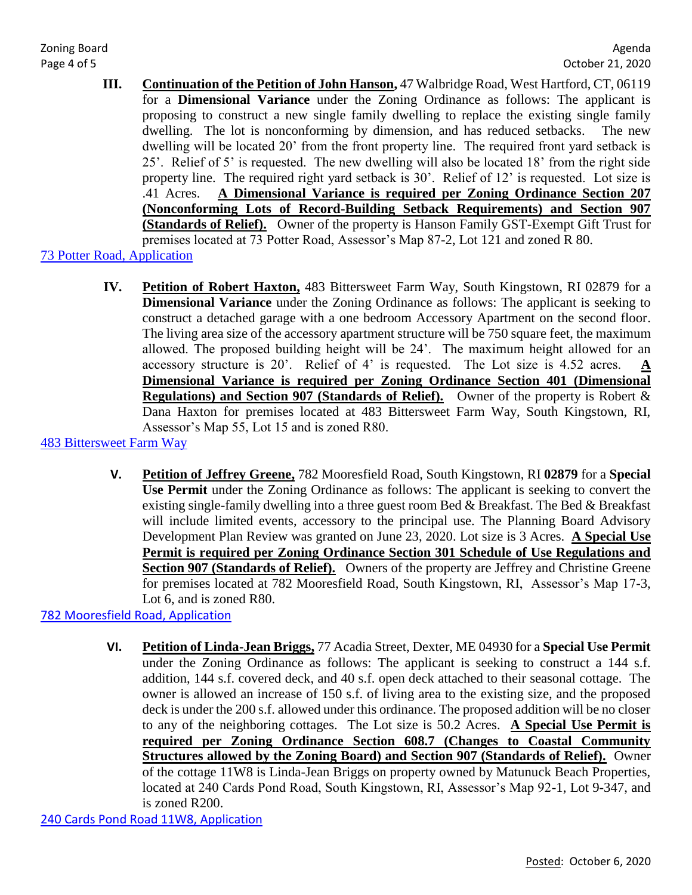- **III. Continuation of the Petition of John Hanson,** 47 Walbridge Road, West Hartford, CT, 06119 for a **Dimensional Variance** under the Zoning Ordinance as follows: The applicant is proposing to construct a new single family dwelling to replace the existing single family dwelling. The lot is nonconforming by dimension, and has reduced setbacks. The new dwelling will be located 20' from the front property line. The required front yard setback is 25'. Relief of 5' is requested. The new dwelling will also be located 18' from the right side property line. The required right yard setback is 30'. Relief of 12' is requested. Lot size is .41 Acres. **A Dimensional Variance is required per Zoning Ordinance Section 207 (Nonconforming Lots of Record-Building Setback Requirements) and Section 907 (Standards of Relief).** Owner of the property is Hanson Family GST-Exempt Gift Trust for premises located at 73 Potter Road, Assessor's Map 87-2, Lot 121 and zoned R 80.
- [73 Potter Road, Application](http://www.southkingstownri.com/DocumentCenter/View/5188/Application-73-Potter-Road-Hanson)
	- **IV. Petition of Robert Haxton,** 483 Bittersweet Farm Way, South Kingstown, RI 02879 for a **Dimensional Variance** under the Zoning Ordinance as follows: The applicant is seeking to construct a detached garage with a one bedroom Accessory Apartment on the second floor. The living area size of the accessory apartment structure will be 750 square feet, the maximum allowed. The proposed building height will be 24'. The maximum height allowed for an accessory structure is 20'. Relief of 4' is requested. The Lot size is 4.52 acres.  $\underline{A}$ **Dimensional Variance is required per Zoning Ordinance Section 401 (Dimensional Regulations) and Section 907 (Standards of Relief).** Owner of the property is Robert & Dana Haxton for premises located at 483 Bittersweet Farm Way, South Kingstown, RI, Assessor's Map 55, Lot 15 and is zoned R80.
- [483 Bittersweet Farm Way](http://www.southkingstownri.com/DocumentCenter/View/5242/Application-483-Bittersweet-Farm-Way-Haxton)
	- **V. Petition of Jeffrey Greene,** 782 Mooresfield Road, South Kingstown, RI **02879** for a **Special Use Permit** under the Zoning Ordinance as follows: The applicant is seeking to convert the existing single-family dwelling into a three guest room Bed & Breakfast. The Bed & Breakfast will include limited events, accessory to the principal use. The Planning Board Advisory Development Plan Review was granted on June 23, 2020. Lot size is 3 Acres. **A Special Use Permit is required per Zoning Ordinance Section 301 Schedule of Use Regulations and**  Section 907 (Standards of Relief). Owners of the property are Jeffrey and Christine Greene for premises located at 782 Mooresfield Road, South Kingstown, RI, Assessor's Map 17-3, Lot 6, and is zoned R80.

[782 Mooresfield Road, Application](http://www.southkingstownri.com/DocumentCenter/View/5246/Application-782-Mooresfield-Road-Greene)

**VI. Petition of Linda-Jean Briggs,** 77 Acadia Street, Dexter, ME 04930 for a **Special Use Permit** under the Zoning Ordinance as follows: The applicant is seeking to construct a 144 s.f. addition, 144 s.f. covered deck, and 40 s.f. open deck attached to their seasonal cottage. The owner is allowed an increase of 150 s.f. of living area to the existing size, and the proposed deck is under the 200 s.f. allowed under this ordinance. The proposed addition will be no closer to any of the neighboring cottages. The Lot size is 50.2 Acres. **A Special Use Permit is required per Zoning Ordinance Section 608.7 (Changes to Coastal Community Structures allowed by the Zoning Board) and Section 907 (Standards of Relief).** Owner of the cottage 11W8 is Linda-Jean Briggs on property owned by Matunuck Beach Properties, located at 240 Cards Pond Road, South Kingstown, RI, Assessor's Map 92-1, Lot 9-347, and is zoned R200.